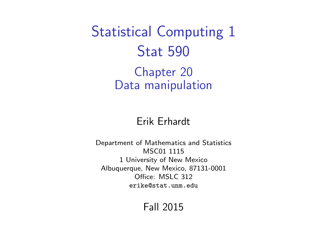<span id="page-0-0"></span>Statistical Computing 1 Stat 590

> Chapter 20 Data manipulation

#### Erik Erhardt

Department of Mathematics and Statistics MSC01 1115 1 University of New Mexico Albuquerque, New Mexico, 87131-0001 Office: MSLC 312 <erike@stat.unm.edu>

Fall 2015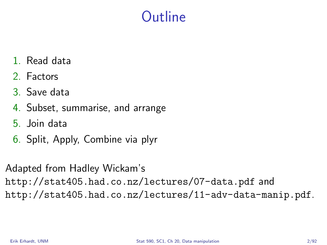# **Outline**

- 1. Read data
- 2. Factors
- 3. Save data
- 4. Subset, summarise, and arrange
- 5. Join data
- 6. Split, Apply, Combine via plyr

Adapted from Hadley Wickam's <http://stat405.had.co.nz/lectures/07-data.pdf> and <http://stat405.had.co.nz/lectures/11-adv-data-manip.pdf>.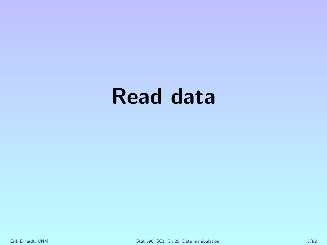# Read data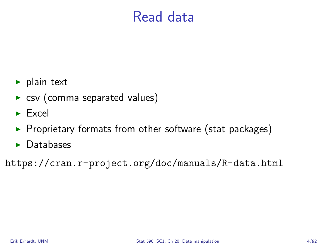## Read data

- $\blacktriangleright$  plain text
- $\triangleright$  csv (comma separated values)
- $\blacktriangleright$  Excel
- $\blacktriangleright$  Proprietary formats from other software (stat packages)
- $\blacktriangleright$  Databases

<https://cran.r-project.org/doc/manuals/R-data.html>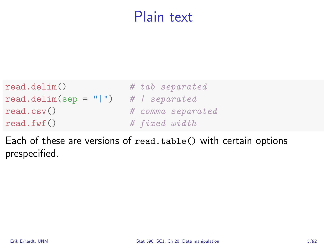## Plain text

| read.delim()            | # tab separated   |
|-------------------------|-------------------|
| $read.delim(sep = " ")$ | # Separated       |
| read.csv()              | # comma separated |
| read.fwf()              | # fixed width     |

Each of these are versions of read.table() with certain options prespecified.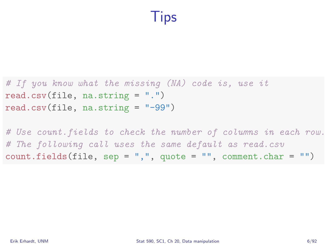# Tips

# If you know what the missing (NA) code is, use it read.csv(file, na.string = ".") read.csv(file, na.string = "-99")

# Use count.fields to check the number of columns in each row. # The following call uses the same default as read.csv  $count.fields(file, sep = ", ", quote = "", comment(char = "")$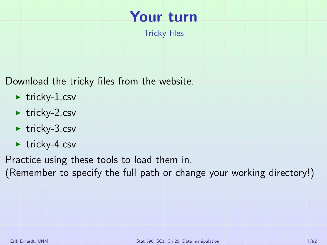# Your turn

Tricky files

Download the tricky files from the website.

- $\blacktriangleright$  tricky-1.csv
- $\blacktriangleright$  tricky-2.csv
- $\blacktriangleright$  tricky-3.csv
- $\blacktriangleright$  tricky-4.csv

Practice using these tools to load them in.

(Remember to specify the full path or change your working directory!)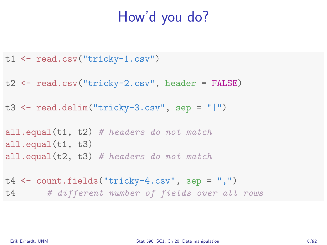# How'd you do?

- t1 <- read.csv("tricky-1.csv")
- t2 <- read.csv("tricky-2.csv", header = FALSE)
- t3 <- read.delim("tricky-3.csv", sep = "|")

all.equal( $t1$ ,  $t2$ ) # headers do not match all.equal(t1, t3) all.equal( $t2$ ,  $t3$ ) # headers do not match

t4 <- count.fields("tricky-4.csv", sep = ",") t4 # different number of fields over all rows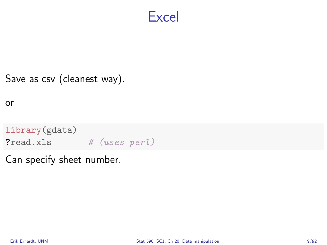#### Excel

#### Save as csv (cleanest way).

or

library(gdata) ?read.xls # (uses perl)

Can specify sheet number.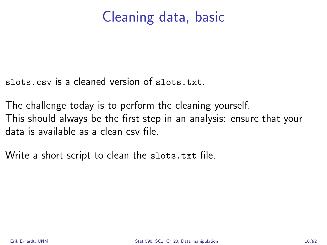# Cleaning data, basic

slots.csv is a cleaned version of slots.txt.

The challenge today is to perform the cleaning yourself. This should always be the first step in an analysis: ensure that your data is available as a clean csv file.

Write a short script to clean the slots.txt file.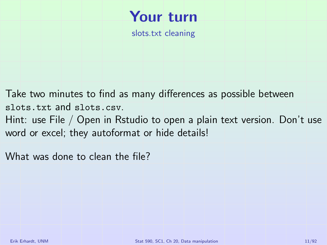# Your turn

slots.txt cleaning

Take two minutes to find as many differences as possible between slots.txt and slots.csv. Hint: use File / Open in Rstudio to open a plain text version. Don't use

word or excel; they autoformat or hide details!

What was done to clean the file?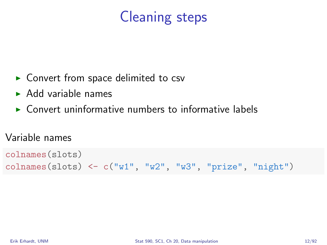# Cleaning steps

- $\triangleright$  Convert from space delimited to csv
- $\blacktriangleright$  Add variable names
- $\triangleright$  Convert uninformative numbers to informative labels

#### Variable names

```
colnames(slots)
colnames(slots) \leq c ("w1", "w2", "w3", "prize", "night")
```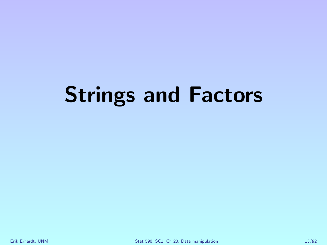# Strings and Factors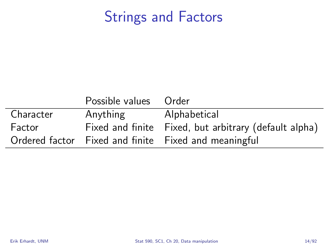# Strings and Factors

|           | Possible values Order |                                                       |
|-----------|-----------------------|-------------------------------------------------------|
| Character | Anything              | Alphabetical                                          |
| Factor    |                       | Fixed and finite Fixed, but arbitrary (default alpha) |
|           |                       | Ordered factor Fixed and finite Fixed and meaningful  |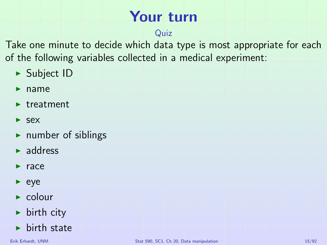# Your turn

#### Quiz

Take one minute to decide which data type is most appropriate for each of the following variables collected in a medical experiment:

- $\blacktriangleright$  Subject ID
- $\blacktriangleright$  name
- $\blacktriangleright$  treatment
- $\blacktriangleright$  sex
- $\blacktriangleright$  number of siblings
- $\blacktriangleright$  address
- $\blacktriangleright$  race
- $\blacktriangleright$  eye
- $\blacktriangleright$  colour
- $\blacktriangleright$  birth city
- $\blacktriangleright$  birth state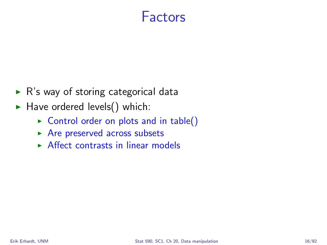### Factors

- $\triangleright$  R's way of storing categorical data
- $\blacktriangleright$  Have ordered levels() which:
	- $\triangleright$  Control order on plots and in table()
	- $\triangleright$  Are preserved across subsets
	- $\triangleright$  Affect contrasts in linear models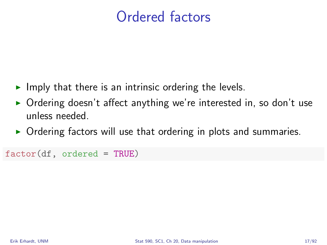# Ordered factors

- $\blacktriangleright$  Imply that there is an intrinsic ordering the levels.
- $\triangleright$  Ordering doesn't affect anything we're interested in, so don't use unless needed.
- $\triangleright$  Ordering factors will use that ordering in plots and summaries.

```
factor(df, ordered = TRUE)
```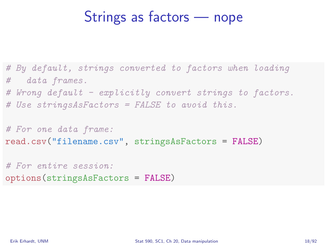## Strings as factors — nope

# By default, strings converted to factors when loading # data frames.

# Wrong default - explicitly convert strings to factors.

# Use stringsAsFactors = FALSE to avoid this.

# For one data frame: read.csv("filename.csv", stringsAsFactors = FALSE)

# For entire session: options(stringsAsFactors = FALSE)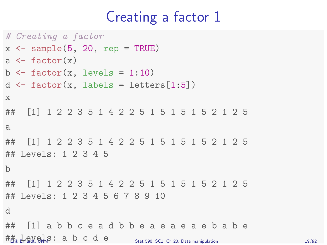## Creating a factor 1

```
# Creating a factor
x \leftarrow sample(5, 20, rep = TRUE)
a \leftarrow factor(x)b \le factor(x, levels = 1:10)
d \leftarrow factor(x, labels = letters[1:5])x
## [1] 1 2 2 3 5 1 4 2 2 5 1 5 1 5 1 5 2 1 2 5
a
## [1] 1 2 2 3 5 1 4 2 2 5 1 5 1 5 1 5 2 1 2 5
## Levels: 1 2 3 4 5
b
## [1] 1 2 2 3 5 1 4 2 2 5 1 5 1 5 1 5 2 1 2 5
## Levels: 1 2 3 4 5 6 7 8 9 10
d
## [1] a b b c e a d b b e a e a e a e b a b e
\#\ddot{\mathbf{F}}_{\mathbf{K}} Levels \ddot{\mathbf{F}}_{\mathbf{K}} and \ddot{\mathbf{F}} c d e \ddot{\mathbf{F}}_{\text{Stat}} sequences of \ddot{\mathbf{F}}_{\text{Stat}} and \ddot{\mathbf{F}}_{\text{Stat}} and \ddot{\mathbf{F}}_{\text{Stat}} and \ddot{\mathbf{F}}_{\text{test}} and \ddot{\mathbf{F}}_{\text{test}} and \ddot{\mathbf{F}}_{\
```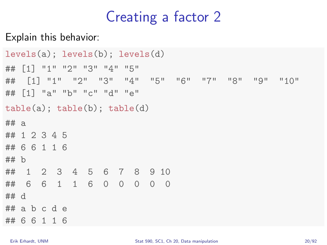# Creating a factor 2

Explain this behavior:

```
levels(a); levels(b); levels(d)
## [1] "1" "2" "3" "4" "5"
## [1] "1" "2" "3" "4" "5" "6" "7" "8" "9" "10"
## [1] "a" "b" "c" "d" "e"
table(a); table(b); table(d)
## a
## 1 2 3 4 5
## 6 6 1 1 6
## b
## 1 2 3 4 5 6 7 8 9 10
## 6 6 1 1 6 0 0 0 0 0
## d
## a b c d e
## 6 6 1 1 6
```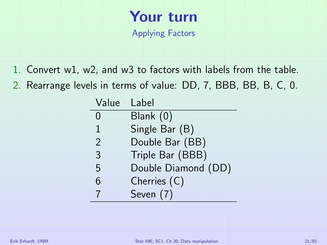# Your turn

Applying Factors

- 1. Convert w1, w2, and w3 to factors with labels from the table.
- 2. Rearrange levels in terms of value: DD, 7, BBB, BB, B, C, 0.

| Value          | Label               |
|----------------|---------------------|
| 0              | Blank (0)           |
| 1              | Single Bar (B)      |
| $\overline{2}$ | Double Bar (BB)     |
| 3              | Triple Bar (BBB)    |
| 5              | Double Diamond (DD) |
| 6              | Cherries (C)        |
| 7              | Seven (7)           |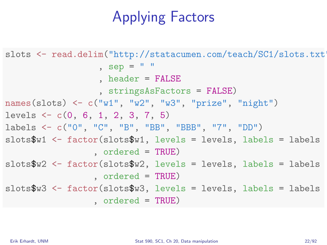# Applying Factors

```
slots <- read.delim("http://statacumen.com/teach/SC1/slots.txt">
                  , sep = " "header = FALSE, stringsAsFactors = FALSE)
names(slots) <- c("w1", "w2", "w3", "prize", "night")
levels <- c(0, 6, 1, 2, 3, 7, 5)
labels <- c("0", "C", "B", "BB", "BBB", "7", "DD")
slotsW1 <- factor(slotsW1, levels = levels, labels = labels
                 , ordered = TRUE)
slotsW2 <- factor(slotsW2, levels = levels, labels = labels
                 , ordered = TRUE)
slots$w3 <- factor(slots$w3, levels = levels, labels = labels
                 , ordered = TRUE)
```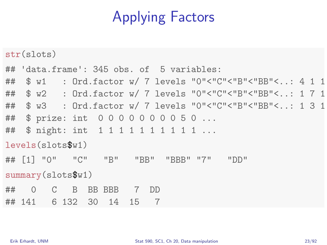# Applying Factors

str(slots) ## 'data.frame': 345 obs. of 5 variables: ## \$ w1 : Ord.factor w/ 7 levels "0"<"C"<"B"<"BB"<..: 4 1 1 ## \$ w2 : Ord.factor w/ 7 levels "0"<"C"<"B"<"BB"<..: 1 7 1 ## \$ w3 : Ord.factor w/ 7 levels "0"<"C"<"B"<"BB"<..: 1 3 1 ## \$ prize: int 0 0 0 0 0 0 0 0 5 0 ... ## \$ night: int 1 1 1 1 1 1 1 1 1 1 ... levels(slots\$w1) ## [1] "0" "C" "B" "BB" "BBB" "7" "DD" summary(slots\$w1) ## 0 C B BB BBB 7 DD ## 141 6 132 30 14 15 7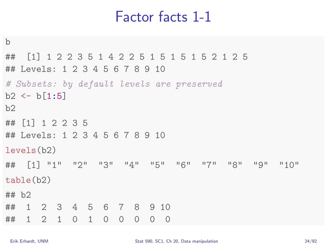## Factor facts 1-1

```
b
## [1] 1 2 2 3 5 1 4 2 2 5 1 5 1 5 1 5 2 1 2 5
## Levels: 1 2 3 4 5 6 7 8 9 10
# Subsets: by default levels are preserved
b2 \le b[1:5]b2
## [1] 1 2 2 3 5
## Levels: 1 2 3 4 5 6 7 8 9 10
levels(b2)
## [1] "1" "2" "3" "4" "5" "6" "7" "8" "9" "10"
table(b2)
## b2
## 1 2 3 4 5 6 7 8 9 10
## 1 2 1 0 1 0 0 0 0 0
```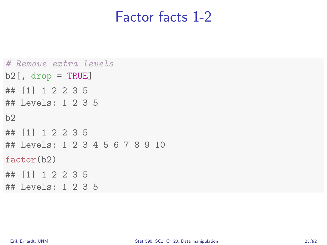#### Factor facts 1-2

```
# Remove extra levels
b2[, drop = TRUE]
## [1] 1 2 2 3 5
## Levels: 1 2 3 5
b2
## [1] 1 2 2 3 5
## Levels: 1 2 3 4 5 6 7 8 9 10
factor(b2)
## [1] 1 2 2 3 5
## Levels: 1 2 3 5
```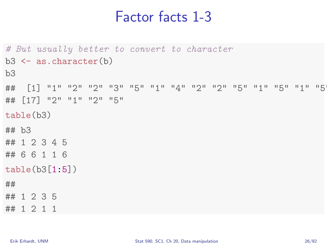#### Factor facts 1-3

```
# But usually better to convert to character
b3 \leftarrow as.d.character(b)
b<sub>3</sub>## [1] "1" "2" "2" "3" "5" "1" "4" "2" "2" "5" "1" "5" "1" "5" "1" "5"
## [17] "2" "1" "2" "5"
table(b3)
## b3
## 1 2 3 4 5
## 6 6 1 1 6
table(b3[1:5])
##
## 1 2 3 5
## 1 2 1 1
```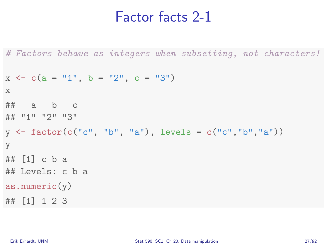#### Factor facts 2-1

```
# Factors behave as integers when subsetting, not characters!
x \leq -c(a = "1", b = "2", c = "3")x
## a b c
## "1" "2" "3"
y \leq factor(c("c", "b", "a"), levels = c("c","b","a"))
y
## [1] c b a
## Levels: c b a
as.numeric(y)## [1] 1 2 3
```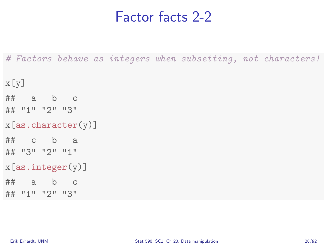#### Factor facts 2-2

# Factors behave as integers when subsetting, not characters!

```
x[y]
\# a b c
## "1" "2" "3"
x[as.character(y)]
## c b a
## "3" "2" "1"
x[as.integer(y)]\# a b c
## "1" "2" "3"
```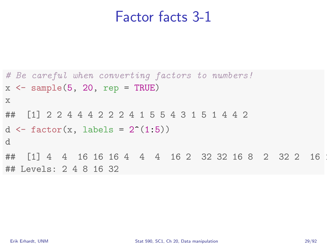#### Factor facts 3-1

```
# Be careful when converting factors to numbers!
x \leftarrow sample(5, 20, rep = TRUE)
x
## [1] 2 2 4 4 4 2 2 2 4 1 5 5 4 3 1 5 1 4 4 2
d \leftarrow factor(x, labels = 2^{(1:5)})d
## [1] 4 4 16 16 16 4 4 4 16 2 32 32 16 8 2 32 2 16
## Levels: 2 4 8 16 32
```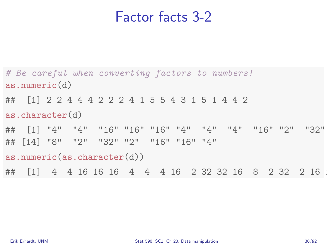#### Factor facts 3-2

# Be careful when converting factors to numbers! as.numeric(d) ## [1] 2 2 4 4 4 2 2 2 4 1 5 5 4 3 1 5 1 4 4 2 as.character(d) ## [1] "4" "4" "16" "16" "16" "4" "4" "4" "16" "2" "32" "32" "16" ## [14] "8" "2" "32" "2" "16" "16" "4" as.numeric(as.character(d)) ## [1] 4 4 16 16 16 4 4 4 16 2 32 32 16 8 2 32 2 16 16 4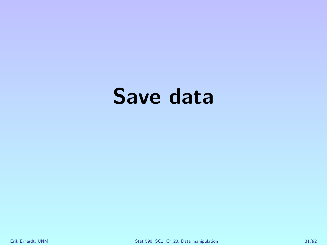# Save data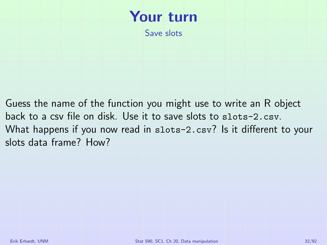

Guess the name of the function you might use to write an R object back to a csv file on disk. Use it to save slots to slots-2.csv. What happens if you now read in slots-2.csv? Is it different to your slots data frame? How?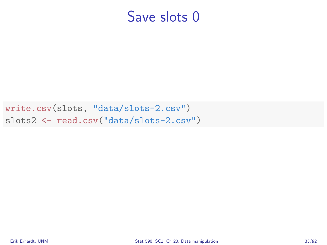write.csv(slots, "data/slots-2.csv") slots2 <- read.csv("data/slots-2.csv")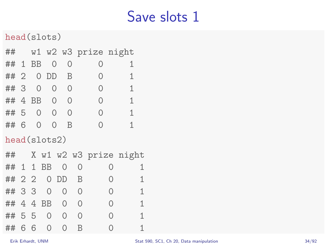head(slots)

| ##           |    |               |                |                |          | w1 w2 w3 prize night |   |                        |  |
|--------------|----|---------------|----------------|----------------|----------|----------------------|---|------------------------|--|
| ## 1         |    | <b>BB</b>     | $\Omega$       |                | 0        | 0                    |   | 1                      |  |
| ## 2         |    |               | 0 DD           | B              |          | 0                    |   | 1                      |  |
| ## 3         |    | 0             | 0              | $\Omega$       |          | 0                    |   | 1                      |  |
| ## 4 BB      |    |               | $\Omega$       | $\overline{0}$ |          | 0                    |   | 1                      |  |
| ## 5         |    | $\Omega$      | $\Omega$       |                | $\Omega$ | 0                    |   | 1                      |  |
| ## 6         |    | $\mathcal{O}$ | 0              | B              |          | $\Omega$             |   | 1                      |  |
| head(slots2) |    |               |                |                |          |                      |   |                        |  |
| ##           |    |               |                |                |          |                      |   | X w1 w2 w3 prize night |  |
| ##           |    | $1\quad1$     | <b>BB</b>      | $\Omega$       | 0        |                      | 0 | 1                      |  |
| ## 2 2       |    |               |                | 0 DD           | B        |                      | 0 | 1                      |  |
| ##           | 33 |               | $\mathbf{0}$   | $\mathbf{0}$   | 0        | 0                    |   | 1                      |  |
| ##           |    |               | 4 4 BB         | $\Omega$       | 0        | $\Omega$             |   | 1                      |  |
| ## 5 5       |    |               | $\overline{0}$ | $\mathbf{0}$   | 0        | 0                    |   | 1                      |  |
| ##           | 6  | - 6           | $\Omega$       | $\Omega$       | B        |                      | Ω | 1                      |  |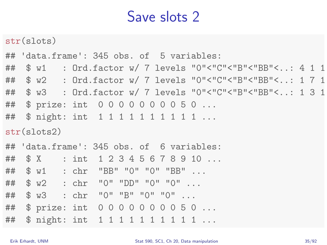str(slots)

## 'data.frame': 345 obs. of 5 variables: ## \$ w1 : Ord.factor w/ 7 levels "0"<"C"<"B"<"BB"<..: 4 1 1 ## \$ w2 : Ord.factor w/ 7 levels "0"<"C"<"B"<"BB"<..: 1 7 1 ## \$ w3 : Ord.factor w/ 7 levels "0"<"C"<"B"<"BB"<..: 1 3 1 ## \$ prize: int 0 0 0 0 0 0 0 0 5 0 ... ## \$ night: int 1 1 1 1 1 1 1 1 1 1 ... str(slots2) ## 'data.frame': 345 obs. of 6 variables: ## \$ X : int 1 2 3 4 5 6 7 8 9 10 ... ## \$ w1 : chr "BB" "0" "0" "BB" ... ## \$ w2 : chr "0" "DD" "0" "0" ... ## \$ w3 : chr "0" "B" "0" "0" ... ## \$ prize: int 0 0 0 0 0 0 0 0 5 0 ...

## \$ night: int 1 1 1 1 1 1 1 1 1 1 ...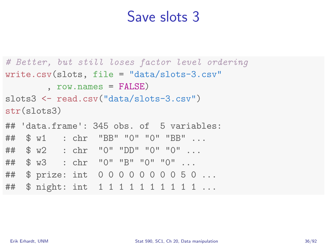```
# Better, but still loses factor level ordering
write.csv(slots, file = "data/slots-3.csv"
        , row.names = FALSE)
slots3 <- read.csv("data/slots-3.csv")
str(slots3)
## 'data.frame': 345 obs. of 5 variables:
## $ w1 : chr "BB" "0" "0" "BB" ...
## $ w2 : chr "0" "DD" "0" "0" ...
## $ w3 : chr "0" "B" "0" "0" ...
## $ prize: int 0 0 0 0 0 0 0 0 5 0 ...
## $ night: int 1 1 1 1 1 1 1 1 1 1 ...
```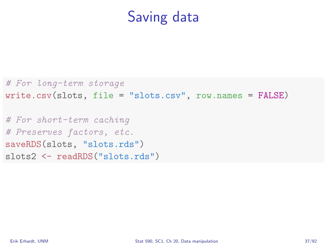### Saving data

```
# For long-term storage
write.csv(slots, file = "slots.csv", row.names = FALSE)
```
# For short-term caching # Preserves factors, etc. saveRDS(slots, "slots.rds") slots2 <- readRDS("slots.rds")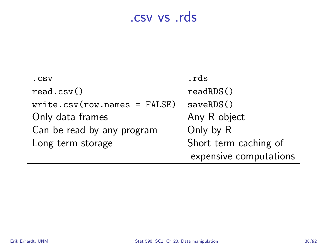#### .csv vs .rds

| .csv                          | .rds                   |
|-------------------------------|------------------------|
| read.csv()                    | readRDS()              |
| $write.csv(row.name = FALSE)$ | saveRDS()              |
| Only data frames              | Any R object           |
| Can be read by any program    | Only by R              |
| Long term storage             | Short term caching of  |
|                               | expensive computations |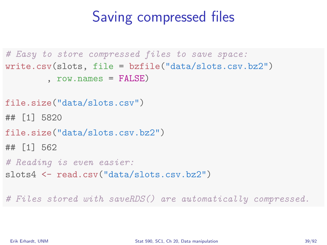### Saving compressed files

```
# Easy to store compressed files to save space:
write.csv(slots, file = bzfile("data/slots.csv.bz2")
        , row.name = FAI(SF)file.size("data/slots.csv")
## [1] 5820
file.size("data/slots.csv.bz2")
## [1] 562
# Reading is even easier:
slots4 <- read.csv("data/slots.csv.bz2")
```
# Files stored with saveRDS() are automatically compressed.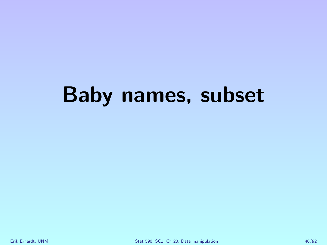# Baby names, subset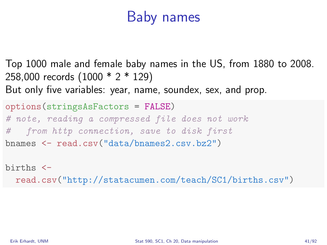### Baby names

Top 1000 male and female baby names in the US, from 1880 to 2008. 258,000 records (1000 \* 2 \* 129) But only five variables: year, name, soundex, sex, and prop.

options(stringsAsFactors = FALSE) # note, reading a compressed file does not work # from http connection, save to disk first bnames <- read.csv("data/bnames2.csv.bz2")

births < read.csv("http://statacumen.com/teach/SC1/births.csv")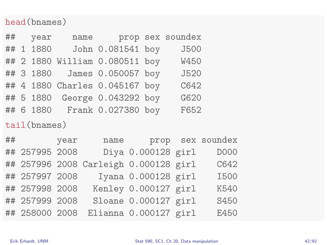#### head(bnames)

|  | ## year   | name prop sex soundex          |      |
|--|-----------|--------------------------------|------|
|  | ## 1 1880 | John 0.081541 boy              | J500 |
|  |           | ## 2 1880 William 0.080511 boy | W450 |
|  |           | ## 3 1880  James 0.050057 boy  | J520 |
|  |           | ## 4 1880 Charles 0.045167 boy | C642 |
|  |           | ## 5 1880 George 0.043292 boy  | G620 |
|  |           | ## 6 1880 Frank 0.027380 boy   | F652 |
|  |           |                                |      |

tail(bnames)

| ## year        | name                                  |                       | prop sex soundex |
|----------------|---------------------------------------|-----------------------|------------------|
| ## 257995 2008 |                                       | Diya 0.000128 girl    | D000             |
|                | ## 257996 2008 Carleigh 0.000128 girl |                       | C642             |
| ## 257997 2008 |                                       | Iyana 0.000128 girl   | <b>I500</b>      |
| ## 257998 2008 |                                       | Kenley 0.000127 girl  | K540             |
| ## 257999 2008 |                                       | Sloane 0.000127 girl  | S450             |
| ## 258000 2008 |                                       | Elianna 0.000127 girl | E450             |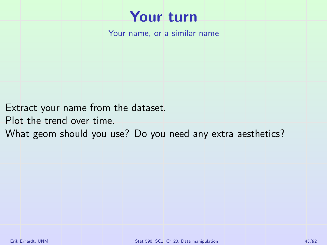

Your name, or a similar name

Extract your name from the dataset.

Plot the trend over time.

What geom should you use? Do you need any extra aesthetics?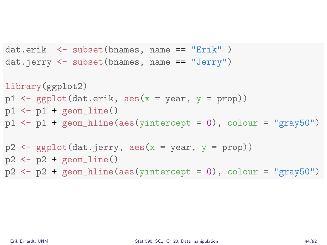```
dat.erik <- subset(bnames, name == "Erik" )
dat.jerry <- subset(bnames, name == "Jerry")
library(ggplot2)
p1 \leftarrow \text{gpplot}(dat.erik, aes(x = year, y = prop))p1 \leftarrow p1 + \text{geom}line()
p1 \leftarrow p1 + \text{geom} [hline(aes(yintercept = 0), colour = "gray50")
p2 \leq - ggplot(dat.jerry, aes(x = year, y = prop))
p2 \leftarrow p2 + \text{geom} line()
p2 \leq -p2 + \text{geom} hline(aes(yintercept = 0), colour = "gray50")
```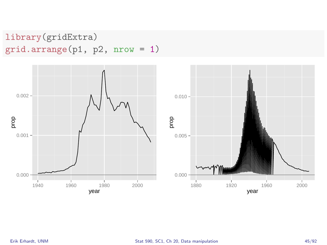#### library(gridExtra) grid.arrange(p1, p2, nrow = 1)

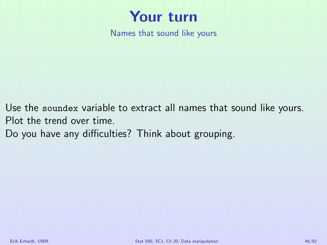

Names that sound like yours

Use the soundex variable to extract all names that sound like yours. Plot the trend over time.

Do you have any difficulties? Think about grouping.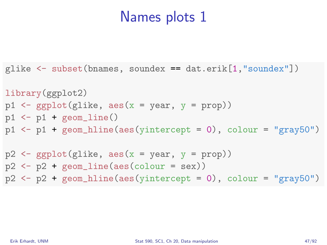```
glike <- subset(bnames, soundex == dat.erik[1,"soundex"])
library(ggplot2)
p1 \leftarrow ggplot(glike, aes(x = year, y = prop))
p1 \leftarrow p1 + \text{geom}line()
p1 \leftarrow p1 + geom\_hline(aes(yintercept = 0), colour = "gray50")p2 \leq - ggplot(glike, \text{aes}(x = \text{year}, y = \text{prop}))
p2 \leftarrow p2 + geom\_line(aes(colour = sex))p2 \leq -p2 + \text{geom\_hline(aes(yintercept = 0), colour = "gray50")}
```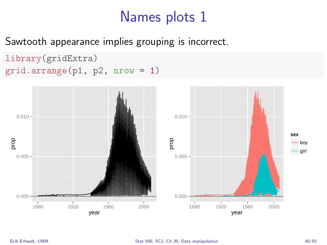Sawtooth appearance implies grouping is incorrect.

```
library(gridExtra)
grid.arrange(p1, p2, nrow = 1)
```
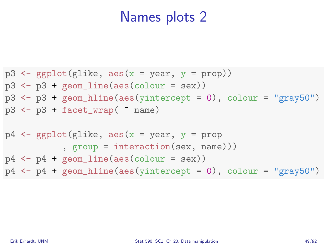```
p3 \leq \text{gphot}(\text{glike}, \text{aes}(x = \text{year}, y = \text{prop}))p3 \leftarrow p3 + \text{geom\_line}(aes(colour = sex))p3 \le -p3 + geom_hline(aes(yintercept = 0), colour = "gray50")
p3 \leftarrow p3 + \text{facet\_wrap}( \text{name})
p4 \leq ggplot(glike, aes(x = year, y = prop
               , group = interaction(sex, name)))
p4 \leftarrow p4 + geom\_line(aes(colour = sex))p4 \leq -p4 + \text{geom\_hline}(aes(\text{yintercept} = 0), \text{ colour} = \text{''gray}50\%)
```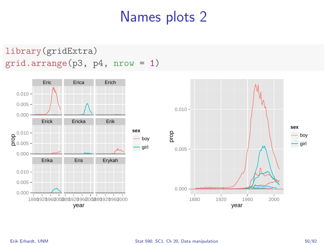library(gridExtra) grid.arrange(p3, p4, nrow = 1)



**sex** boy girl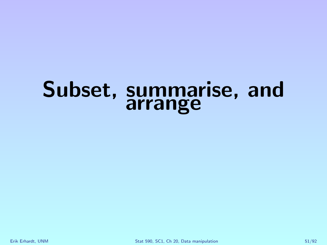### Subset, summarise, and arrange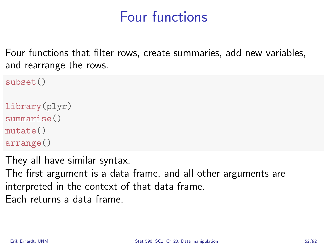### Four functions

Four functions that filter rows, create summaries, add new variables, and rearrange the rows.

```
subset()
library(plyr)
summarise()
mutate()
arrange()
```
They all have similar syntax.

The first argument is a data frame, and all other arguments are interpreted in the context of that data frame. Each returns a data frame.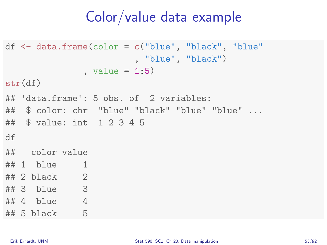#### Color/value data example

```
df <- data.frame(color = c("blue", "black", "blue"
                       , "blue", "black")
              , value = 1:5)
str(df)
## 'data.frame': 5 obs. of 2 variables:
## $ color: chr "blue" "black" "blue" "blue" ...
## $ value: int 1 2 3 4 5
df
## color value
## 1 blue 1
## 2 black 2
## 3 blue 3
## 4 blue 4
## 5 black 5
```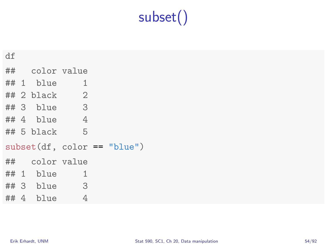# subset()

| df |                 |   |                                |
|----|-----------------|---|--------------------------------|
|    | ## color value  |   |                                |
|    | $\#$ # 1 blue 1 |   |                                |
|    | $\#$ #2 black 2 |   |                                |
|    | ## 3 blue 3     |   |                                |
|    | $\#$ # 4 blue 4 |   |                                |
|    | ## 5 black 5    |   |                                |
|    |                 |   | $subset (df, color == "blue")$ |
|    | ## color value  |   |                                |
|    | $\#$ # 1 blue 1 |   |                                |
|    | $\#$ # 3 blue 3 |   |                                |
|    | $\#$ #4 blue    | 4 |                                |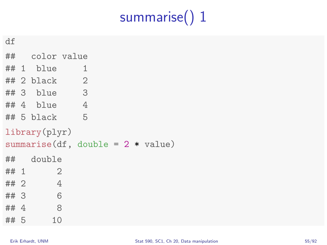# summarise() 1

| ۰<br>× |
|--------|
|        |
|        |

|        | ## color value   |                                      |  |  |
|--------|------------------|--------------------------------------|--|--|
|        | ## 1 blue        | 1                                    |  |  |
|        | ## 2 black       | $\overline{2}$                       |  |  |
|        | $\#$ # 3 blue 3  |                                      |  |  |
|        | ## 4 blue        | $\overline{4}$                       |  |  |
|        | $\#$ # 5 black 5 |                                      |  |  |
|        | library(plyr)    |                                      |  |  |
|        |                  | summarise(df, double = $2 * value$ ) |  |  |
|        | ## double        |                                      |  |  |
| ## 1   | $\mathfrak{2}$   |                                      |  |  |
| ##2    | $\overline{4}$   |                                      |  |  |
| ##3    | 6                |                                      |  |  |
| ## $4$ | $\sim$ 8         |                                      |  |  |
| ## 5   | 10               |                                      |  |  |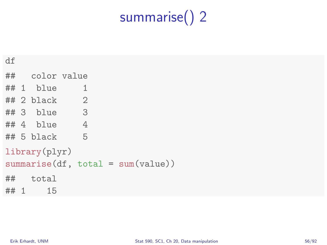# summarise() 2

| df                                                   |
|------------------------------------------------------|
|                                                      |
| $\#$ # 1 blue<br>1                                   |
| $\#$ #2 black 2                                      |
| ## 3 blue 3                                          |
| $\#$ #4 blue 4                                       |
| $5^{\circ}$<br>$\#$ #5 black                         |
| library(plyr)<br>$summarise(df, total = sum(value))$ |
| $\#$ # total<br>$\#$ $\#$ 1<br>15                    |
|                                                      |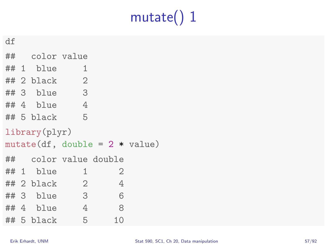# mutate() 1

| ۰<br>× |
|--------|
|        |
|        |

|  | ## color value                   |                            |                |  |
|--|----------------------------------|----------------------------|----------------|--|
|  | $# 1$ blue                       | 1                          |                |  |
|  | $\#$ #2 black 2                  |                            |                |  |
|  | $\#$ # 3 blue 3                  |                            |                |  |
|  | ## 4 blue                        | $\overline{4}$             |                |  |
|  | ## 5 black                       | $5^{\circ}$                |                |  |
|  | library(plyr)                    |                            |                |  |
|  |                                  |                            |                |  |
|  | $mutate(df, double = 2 * value)$ |                            |                |  |
|  |                                  | ## color value double      |                |  |
|  | $# 1$ blue                       | $\mathbf{1}$               | $\overline{2}$ |  |
|  | ## 2  black                      | $\overline{\phantom{0}}^2$ | $\overline{4}$ |  |
|  | ## 3 blue                        | $\sim$ 3                   | 6              |  |
|  |                                  | $\#$ #4 blue 4             | 8              |  |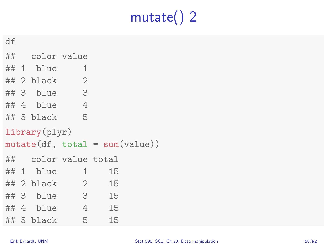# mutate() 2

df

|  | ## color value       |                |                                  |  |
|--|----------------------|----------------|----------------------------------|--|
|  | $# 1$ blue           | 1              |                                  |  |
|  | $\#$ #2 black 2      |                |                                  |  |
|  | ## 3 blue 3          |                |                                  |  |
|  | ## 4 blue            | $\overline{4}$ |                                  |  |
|  | $\#$ # 5 black 5     |                |                                  |  |
|  | library(plyr)        |                |                                  |  |
|  |                      |                | $mutate(df, total = sum(value))$ |  |
|  |                      |                |                                  |  |
|  | ## color value total |                |                                  |  |
|  | $## 1$ blue          | $\sim$ 1       | 15                               |  |
|  | ## 2 black 2 15      |                |                                  |  |
|  | $## 3$ blue          | 3 15           |                                  |  |
|  | ## 4 blue 4 15       |                |                                  |  |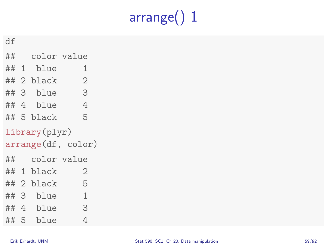# arrange() 1

df

|  | ## color value |                    |
|--|----------------|--------------------|
|  | ## 1 blue      | 1                  |
|  | ## 2 black     | $\overline{2}$     |
|  | ## 3 blue      | 3                  |
|  | ## 4 blue      | 4<br>an an         |
|  | ## 5 black     | 5                  |
|  | library(plyr)  |                    |
|  |                |                    |
|  |                | arrange(df, color) |
|  | ## color value |                    |
|  | ## 1 black     | 2                  |
|  | ## 2 black     | 5                  |
|  | ## 3 blue      | $\mathbf{1}$       |
|  | ## 4 blue      | 3                  |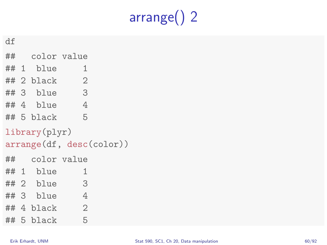# arrange() 2

df

|    | ## color value |                          |  |
|----|----------------|--------------------------|--|
|    | ## 1 blue      | 1                        |  |
|    | ## 2  black    | $\mathbf{2}$             |  |
|    | ## 3 blue      | 3                        |  |
|    | ## 4 blue      | $\overline{4}$           |  |
|    | ## 5 black     | 5                        |  |
|    | library(plyr)  |                          |  |
|    |                |                          |  |
|    |                | arrange(df, desc(color)) |  |
| ## | color value    |                          |  |
|    | ## 1 blue      | 1                        |  |
|    | ## 2 blue      | 3                        |  |
|    | ## 3 blue      | $\overline{4}$           |  |
|    | ## 4 black     | $\overline{2}$           |  |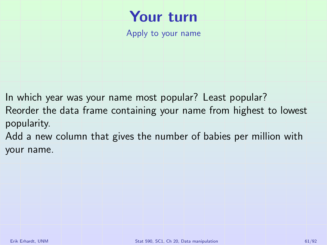### Your turn

Apply to your name

In which year was your name most popular? Least popular? Reorder the data frame containing your name from highest to lowest popularity.

Add a new column that gives the number of babies per million with your name.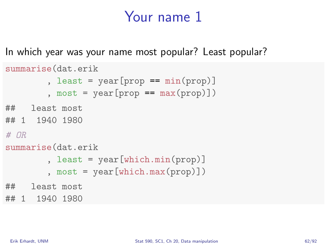#### Your name 1

In which year was your name most popular? Least popular?

```
summarise(dat.erik
          , least = \text{year}[\text{prop} == \text{min}(\text{prop})], most = \text{year}[\text{prop} == \text{max}(\text{prop})])
## least most
## 1 1940 1980
# OR
summarise(dat.erik
          , least = year[which.min(prop)]
          , most = year[which.max(prop)])
## least most
## 1 1940 1980
```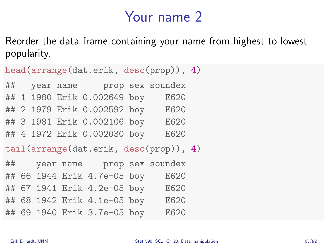#### Your name 2

Reorder the data frame containing your name from highest to lowest popularity.

| head(arrange(dat.erik, desc(prop)), 4) |  |  |  |                                  |  |                                        |  |
|----------------------------------------|--|--|--|----------------------------------|--|----------------------------------------|--|
|                                        |  |  |  | ## year name prop sex soundex    |  |                                        |  |
|                                        |  |  |  | ## 1 1980 Erik 0.002649 boy      |  | E620                                   |  |
|                                        |  |  |  | ## 2 1979 Erik 0.002592 boy      |  | E620                                   |  |
|                                        |  |  |  | ## 3 1981 Erik 0.002106 boy E620 |  |                                        |  |
|                                        |  |  |  | ## 4 1972 Erik 0.002030 boy      |  | E620                                   |  |
|                                        |  |  |  |                                  |  |                                        |  |
|                                        |  |  |  |                                  |  | tail(arrange(dat.erik, desc(prop)), 4) |  |
| ##                                     |  |  |  | year name prop sex soundex       |  |                                        |  |
|                                        |  |  |  | ## 66 1944 Erik 4.7e-05 boy      |  | E620                                   |  |
| ##                                     |  |  |  | 67 1941 Erik 4.2e-05 boy         |  | E620                                   |  |
|                                        |  |  |  | ## 68 1942 Erik 4.1e-05 boy E620 |  |                                        |  |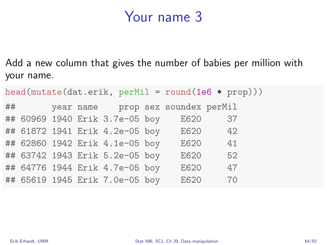#### Your name 3

Add a new column that gives the number of babies per million with your name.

|    |  |                                |                                   | $head(mutate(data.erik, perMil = round(1e6 * prop)))$ |
|----|--|--------------------------------|-----------------------------------|-------------------------------------------------------|
| ## |  |                                | year name prop sex soundex perMil |                                                       |
|    |  | ## 60969 1940 Erik 3.7e-05 boy | E620                              | 37                                                    |
|    |  | ## 61872 1941 Erik 4.2e-05 boy | E620                              | 42                                                    |
|    |  | ## 62860 1942 Erik 4.1e-05 boy | E620                              | 41                                                    |
|    |  | ## 63742 1943 Erik 5.2e-05 boy | E620                              | 52                                                    |
|    |  | ## 64776 1944 Erik 4.7e-05 boy | E620                              | 47                                                    |
|    |  | ## 65619 1945 Erik 7.0e-05 boy | E620                              | 70                                                    |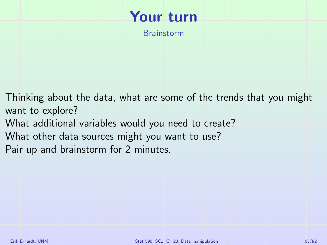### Your turn

Brainstorm

Thinking about the data, what are some of the trends that you might want to explore?

- What additional variables would you need to create?
- What other data sources might you want to use?
- Pair up and brainstorm for 2 minutes.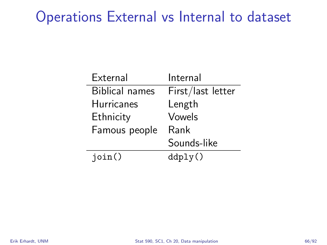### Operations External vs Internal to dataset

| External              | Internal          |
|-----------------------|-------------------|
| <b>Biblical names</b> | First/last letter |
| <b>Hurricanes</b>     | Length            |
| Ethnicity             | Vowels            |
| Famous people         | Rank              |
|                       | Sounds-like       |
| join()                | ddply()           |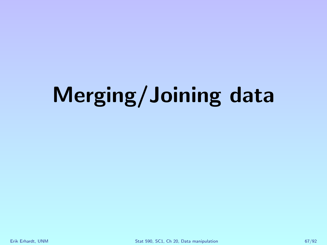# Merging/Joining data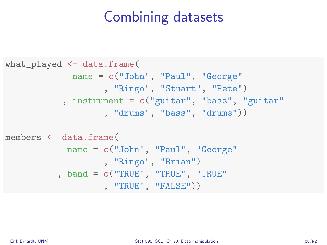### Combining datasets

```
what_played <- data.frame(
             name = c("John", "Paul", "George"
                   , "Ringo", "Stuart", "Pete")
           , instrument = c("guitar", "bass", "guitar"
                   , "drums", "bass", "drums"))
members <- data.frame(
            name = c("John", "Paul", "George"
                   , "Ringo", "Brian")
          , band = c("TRUE", "TRUE", "TRUE"
```

```
, "TRUE", "FALSE"))
```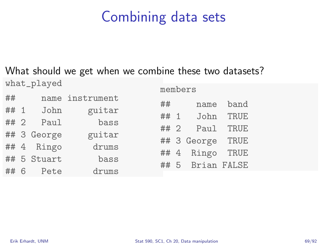### Combining data sets

#### What should we get when we combine these two datasets?

what\_played

| ##   |             | name instrument |
|------|-------------|-----------------|
| ## 1 | John        | guitar          |
| ##2  | Paul        | bass            |
|      | ## 3 George | guitar          |
|      | ## 4 Ringo  | drums           |
|      | ## 5 Stuart | bass            |
| ## 6 | Pete        | drums           |

| ##   | name        | band |
|------|-------------|------|
| ## 1 | John        | TRUE |
| ## 2 | Paul        | TRUE |
|      | ## 3 George | TRUE |
|      | ## 4 Ringo  | TRUE |
| ## 5 | Brian FALSE |      |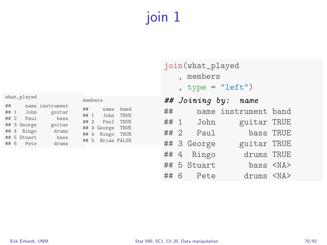### join 1

| what_played                              |                                                                  |                                                                       |                                    |                | members                                                     |                                      |  |  |  |
|------------------------------------------|------------------------------------------------------------------|-----------------------------------------------------------------------|------------------------------------|----------------|-------------------------------------------------------------|--------------------------------------|--|--|--|
| ##<br>## $1$<br>## 2<br>$\epsilon$<br>## | John<br>Paul<br>## 3 George<br>## 4 Ringo<br>## 5 Stuart<br>Pete | name instrument<br>guitar<br>bass<br>guitar<br>drums<br>bass<br>drums | ##<br>## $1$<br>##<br>## 4<br>## 5 | $\overline{2}$ | name<br>John<br>Paul<br>## 3 George<br>Ringo<br>Brian FALSE | band<br>TRUE<br>TRUE<br>TRUE<br>TRUE |  |  |  |
|                                          |                                                                  |                                                                       |                                    |                |                                                             |                                      |  |  |  |

#### join(what\_played

- , members
- , type =  $"left")$

| name instrument band |
|----------------------|
| guitar TRUE          |
| bass TRUE            |
| guitar TRUE          |
| drums TRUE           |
| bass <na></na>       |
| drums <na></na>      |
|                      |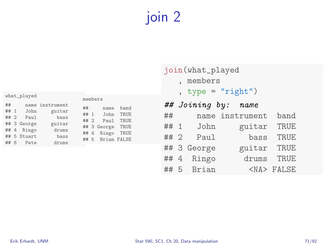### join 2

| what_played                                                                                                        |                                                                       |                                    | members |                                                             |                                       |  |
|--------------------------------------------------------------------------------------------------------------------|-----------------------------------------------------------------------|------------------------------------|---------|-------------------------------------------------------------|---------------------------------------|--|
| ##<br>##<br>John<br>$\overline{1}$<br>Paul<br>## 2<br>## 3 George<br>## 4 Ringo<br>## 5 Stuart<br>-6<br>Pete<br>## | name instrument<br>guitar<br>bass<br>guitar<br>drums<br>bass<br>drums | ##<br>## 1<br>## 2<br>## 4<br>## 5 |         | name<br>John<br>Paul<br>## 3 George<br>Ringo<br>Brian FALSE | band<br>TRUE.<br>TRUE<br>TRUE<br>TRUE |  |

#### join(what\_played

- , members
- , type =  $"right")$

|    |             | ## Joining by: name |                 |
|----|-------------|---------------------|-----------------|
| ## |             | name instrument     | band            |
|    | ## 1 John   | guitar              | TRUE            |
|    | $## 2$ Paul | bass                | <b>TRUE</b>     |
|    | ## 3 George | guitar TRUE         |                 |
|    | ## 4 Ringo  |                     | drums TRUE      |
|    | ## 5 Brian  |                     | <na> FALSE</na> |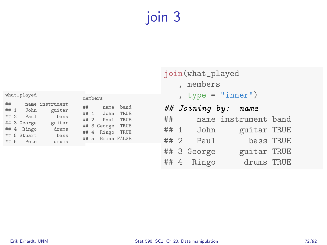### join 3

| what_played                      |            |                                                             |                                                                       |                |                                                 | members                                                      |                                        |  |  |
|----------------------------------|------------|-------------------------------------------------------------|-----------------------------------------------------------------------|----------------|-------------------------------------------------|--------------------------------------------------------------|----------------------------------------|--|--|
| ##<br>## 1<br>## 2<br>## 4<br>## | $\epsilon$ | John<br>Paul<br>## 3 George<br>Ringo<br>## 5 Stuart<br>Pete | name instrument<br>guitar<br>bass<br>guitar<br>drums<br>bass<br>drums | ##<br>##<br>## | ## 1<br>$\mathcal{D}$<br>$\overline{4}$<br>## 5 | name<br>John.<br>Pau1<br>## 3 George<br>Ringo<br>Brian FALSE | band<br>TRUE.<br>TRUE.<br>TRUE<br>TRUE |  |  |
|                                  |            |                                                             |                                                                       |                |                                                 |                                                              |                                        |  |  |

| join(what_played |           |             |                      |           |  |  |  |  |  |
|------------------|-----------|-------------|----------------------|-----------|--|--|--|--|--|
|                  | , members |             |                      |           |  |  |  |  |  |
|                  |           |             | , type = $"inner")$  |           |  |  |  |  |  |
|                  |           |             | ## Joining by: name  |           |  |  |  |  |  |
| ##               |           |             | name instrument band |           |  |  |  |  |  |
|                  |           | ## 1 John   | guitar TRUE          |           |  |  |  |  |  |
|                  |           | $## 2$ Paul |                      | bass TRUE |  |  |  |  |  |
|                  |           | ## 3 George | guitar TRUE          |           |  |  |  |  |  |
|                  |           | ## 4 Ringo  | drums TRUE           |           |  |  |  |  |  |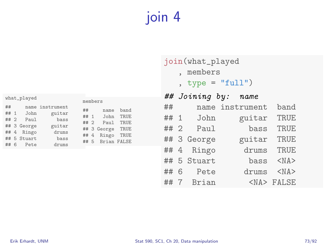# join 4

|      | what_played |                 |      |                | members          |      |
|------|-------------|-----------------|------|----------------|------------------|------|
| ##   |             | name instrument |      |                |                  |      |
|      |             |                 | ##   |                | name             | band |
| ## 1 | John        | guitar          | ##   | $\overline{1}$ | John             | TRUE |
| ## 2 | Paul        | bass            |      |                |                  |      |
|      | ## 3 George | guitar          | ## 2 |                | Paul             | TRUE |
|      |             | drums           |      |                | ## 3 George TRUE |      |
|      | ## 4 Ringo  |                 |      |                | ## 4 Ringo       | TRUE |
|      | ## 5 Stuart | bass            |      |                | ## 5 Brian FALSE |      |
| ## 6 | Pete        | drums           |      |                |                  |      |
|      |             |                 |      |                |                  |      |

#### join(what\_played

- , members
- , type = "full")

|      |   | ## Joining by: | name            |                 |
|------|---|----------------|-----------------|-----------------|
| ##   |   |                | name instrument | band            |
| ## 1 |   | John           | guitar          | <b>TRUE</b>     |
|      |   | $## 2$ Paul    | bass            | TRUE            |
|      |   | ## 3 George    | guitar          | <b>TRUE</b>     |
|      |   | ## 4 Ringo     | drums           | TRUE            |
|      |   | ## 5 Stuart    | bass            | $<$ NA $>$      |
| ##   | 6 | Pete           | drums           | $<$ NA>         |
| ##   | 7 | Brian          |                 | <na> FALSE</na> |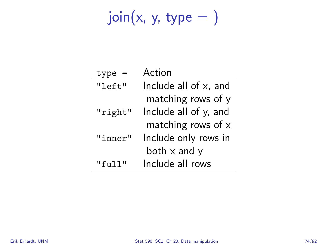# $join(x, y, type = )$

| type          | Action                |
|---------------|-----------------------|
| "left"        | Include all of x, and |
|               | matching rows of y    |
| "right"       | Include all of y, and |
|               | matching rows of $x$  |
| "inner"       | Include only rows in  |
|               | both $x$ and $y$      |
| "f11]<br>יי ד | Include all rows      |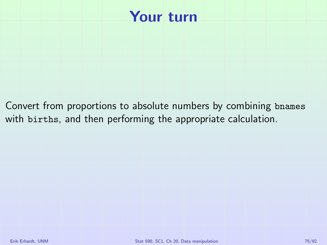#### Your turn

Convert from proportions to absolute numbers by combining bnames with births, and then performing the appropriate calculation.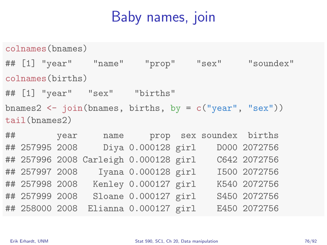### Baby names, join

colnames(bnames) ## [1] "year" "name" "prop" "sex" "soundex" colnames(births) ## [1] "year" "sex" "births" bnames2  $\leftarrow$  join(bnames, births, by =  $c("year", "sex"))$ ) tail(bnames2)

## year name prop sex soundex births ## 257995 2008 Diya 0.000128 girl D000 2072756 ## 257996 2008 Carleigh 0.000128 girl C642 2072756 ## 257997 2008 Iyana 0.000128 girl I500 2072756 ## 257998 2008 Kenley 0.000127 girl K540 2072756 ## 257999 2008 Sloane 0.000127 girl S450 2072756 ## 258000 2008 Elianna 0.000127 girl E450 2072756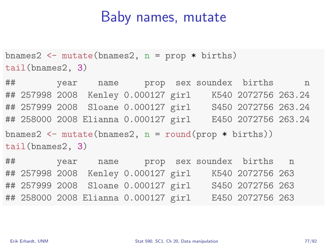#### Baby names, mutate

bnames2  $\leq$  mutate(bnames2, n = prop \* births) tail(bnames2, 3)

## year name prop sex soundex births n ## 257998 2008 Kenley 0.000127 girl K540 2072756 263.24 ## 257999 2008 Sloane 0.000127 girl S450 2072756 263.24 ## 258000 2008 Elianna 0.000127 girl E450 2072756 263.24 bnames2  $\leftarrow$  mutate(bnames2, n = round(prop \* births)) tail(bnames2, 3)

## year name prop sex soundex births n ## 257998 2008 Kenley 0.000127 girl K540 2072756 263 ## 257999 2008 Sloane 0.000127 girl S450 2072756 263 ## 258000 2008 Elianna 0.000127 girl E450 2072756 263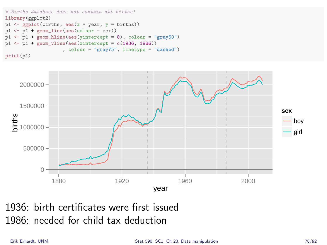```
# Births database does not contain all births!
library(ggplot2)
p1 \leftarrow ggplot(births, aes(x = year, y = births))p1 \leftarrow p1 + geom\_line(aes(colour = sex))p1 \leftarrow p1 + \text{geom\_hline(aes(yintercept = 0), colour = "gray50")}p1 \leftarrow p1 + \text{geom\_value}(\text{aes}(\text{xintercept} = c(1936, 1986)), colour = "gray75", linetype = "dashed")
print(p1)
```


1936: birth certificates were first issued 1986: needed for child tax deduction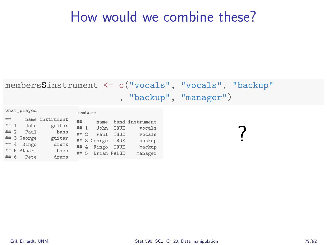#### How would we combine these?

#### members\$instrument <- c("vocals", "vocals", "backup" , "backup", "manager")

| what_played |      |   |             |                 | members |             |             |                 |
|-------------|------|---|-------------|-----------------|---------|-------------|-------------|-----------------|
|             | ##   |   |             | name instrument | ##      | name        |             | band instrument |
|             | ## 1 |   | John        | guitar          |         |             |             |                 |
|             |      |   |             |                 | ## 1    | John        | TRUE        | vocals          |
|             | ## 2 |   | Paul        | bass            |         |             |             |                 |
|             |      |   |             |                 | ## 2    | Pau1        | <b>TRUE</b> | vocals          |
|             |      |   | ## 3 George | guitar          |         |             |             |                 |
|             |      |   |             |                 |         | ## 3 George | TRUE        | backup          |
|             |      |   | ## 4 Ringo  | drums           |         |             |             |                 |
|             |      |   |             |                 | ## 4    | Ringo       | TRUE        | backup          |
|             |      |   | ## 5 Stuart | bass            |         |             |             |                 |
|             |      |   |             |                 | ## 5    | Brian FALSE |             | manager         |
|             | ##   | 6 | Pete        | drums           |         |             |             |                 |
|             |      |   |             |                 |         |             |             |                 |

?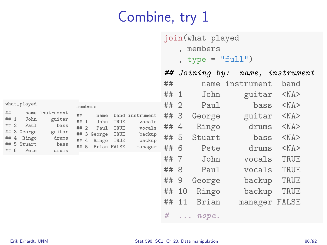# Combine, try 1

|                                                 |                                                                    |       |    | join(what_played   |                  |            |
|-------------------------------------------------|--------------------------------------------------------------------|-------|----|--------------------|------------------|------------|
|                                                 |                                                                    |       |    | , members          |                  |            |
|                                                 |                                                                    |       |    | , type = $"full")$ |                  |            |
|                                                 |                                                                    |       |    | ## Joining by:     | name, instrument |            |
|                                                 |                                                                    | ##    |    |                    | name instrument  | band       |
|                                                 |                                                                    | ## 1  |    | John               | guitar           | $<$ NA $>$ |
| what_played                                     | members                                                            | ##2   |    | Paul               | bass             | $<$ NA $>$ |
| ##<br>name instrument<br>## 1<br>John<br>guitar | ##<br>band instrument<br>name<br>## 1<br>TRUE<br>vocals<br>John    | ## 3  |    | George             | guitar           | $<$ NA $>$ |
| ## 2<br>Paul<br>bass<br>## 3 George<br>guitar   | ## 2<br>TRUE<br>vocals<br>Paul                                     | ## 4  |    | Ringo              | drums            | $<$ NA $>$ |
| ## 4<br>Ringo<br>drums                          | ## 3 George<br>TRUE<br>backup<br>## $4$<br>Ringo<br>TRUE<br>backup | ## 5  |    | Stuart             | bass             | $<$ NA $>$ |
| ## 5 Stuart<br>bass<br>## 6<br>Pete<br>drums    | ## 5 Brian FALSE<br>manager                                        | ## 6  |    | Pete               | drums            | $<$ NA $>$ |
|                                                 |                                                                    | ##7   |    | John               | vocals           | TRUE       |
|                                                 |                                                                    | ## 8  |    | Paul               | vocals           | TRUE       |
|                                                 |                                                                    | ##    | 9  | George             | backup           | TRUE       |
|                                                 |                                                                    | ## 10 |    | Ringo              | backup           | TRUE       |
|                                                 |                                                                    | ##    | 11 | Brian              | manager FALSE    |            |
|                                                 |                                                                    | #     |    | $\ldots$ nope.     |                  |            |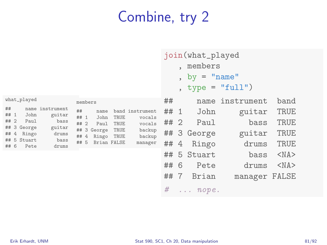# Combine, try 2

|                                    | what_played                                                 |                                                                       |                                    | members                                                     |                              |                                                                    |
|------------------------------------|-------------------------------------------------------------|-----------------------------------------------------------------------|------------------------------------|-------------------------------------------------------------|------------------------------|--------------------------------------------------------------------|
| ##<br>## 1<br>## 2<br>## 4<br>## 6 | John<br>Paul<br>## 3 George<br>Ringo<br>## 5 Stuart<br>Pete | name instrument<br>guitar<br>bass<br>guitar<br>drums<br>bass<br>drums | ##<br>## 1<br>## 2<br>## 4<br>## 5 | name<br>John<br>Paul<br>## 3 George<br>Ringo<br>Brian FALSE | TRUE<br>TRUE<br>TRUE<br>TRUE | band instrument<br>vocals<br>vocals<br>backup<br>backup<br>manager |
|                                    |                                                             |                                                                       |                                    |                                                             |                              |                                                                    |

|         | join(what_played |
|---------|------------------|
| members |                  |
|         | $by = "name"$    |

$$
, type = "full")
$$

| ## |             | name instrument | band           |
|----|-------------|-----------------|----------------|
|    | ## 1 John   | guitar          | <b>TRUE</b>    |
|    | ## 2 Paul   | bass            | <b>TRUE</b>    |
|    | ## 3 George | guitar          | <b>TRUE</b>    |
|    | ## 4 Ringo  | drums           | TRUE           |
|    | ## 5 Stuart |                 | bass <na></na> |
|    | ## 6 Pete   | drums <na></na> |                |
|    | ## 7 Brian  | manager FALSE   |                |
|    | $#$ nope.   |                 |                |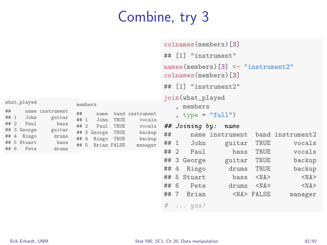# Combine, try 3

|                                                                |                                                                                                                     |                      |                                                                    |                                                                              |        | colnames (members) [3]                                                                               |  |                                                     |                               |                                                |
|----------------------------------------------------------------|---------------------------------------------------------------------------------------------------------------------|----------------------|--------------------------------------------------------------------|------------------------------------------------------------------------------|--------|------------------------------------------------------------------------------------------------------|--|-----------------------------------------------------|-------------------------------|------------------------------------------------|
|                                                                |                                                                                                                     |                      |                                                                    | ## [1] "instrument"                                                          |        |                                                                                                      |  |                                                     |                               |                                                |
|                                                                |                                                                                                                     |                      |                                                                    | names (members) $\lceil 3 \rceil$ <- "instrument2"<br>colnames (members) [3] |        |                                                                                                      |  |                                                     |                               |                                                |
|                                                                |                                                                                                                     |                      |                                                                    |                                                                              |        | ## [1] "instrument2"                                                                                 |  |                                                     |                               |                                                |
| strument<br>guitar<br>bass<br>guitar<br>drums<br>bass<br>drums | members<br>##<br>name<br>## 1<br>John<br>## 2<br>Paul<br>## 3 George<br>## $4$<br>Ringo TRUE<br>## 5<br>Brian FALSE | TRUE<br>TRUE<br>TRUE | band instrument<br>vocals<br>vocals<br>backup<br>backup<br>manager | ##<br>## 1<br>##2                                                            |        | join(what_played<br>. members<br>, type = $"full")$<br>## Joining by:<br>John<br>Paul<br>## 3 George |  | name<br>name instrument<br>guitar<br>bass<br>guitar | TRUE<br>TRUE<br>TRUE          | band instrument2<br>vocals<br>vocals<br>backup |
|                                                                |                                                                                                                     |                      |                                                                    | ##<br>##                                                                     | 4<br>5 | Ringo<br>Stuart                                                                                      |  | drums<br>bass                                       | TRUE<br>$<$ NA $>$            | backup<br>$<$ NA $>$                           |
|                                                                |                                                                                                                     |                      |                                                                    | ## 6<br>##7                                                                  |        | Pete<br>Brian                                                                                        |  | drums                                               | $<$ NA $>$<br><na> FALSE</na> | $<$ NA $>$<br>manager                          |
|                                                                |                                                                                                                     |                      |                                                                    | #                                                                            |        | $\ldots$ yes!                                                                                        |  |                                                     |                               |                                                |

what\_played  $##$  name in  $\begin{array}{cc}\n# \# & 1 & \text{John} \\
# \# & 2 & \text{Paul}\n\end{array}$ Paul ## 3 George ## 4 Ringo ## 5 Stuart  $## 6$  Pete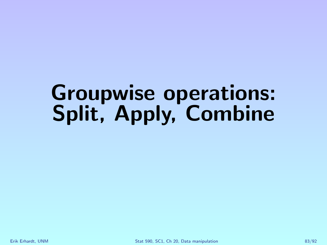# Groupwise operations: Split, Apply, Combine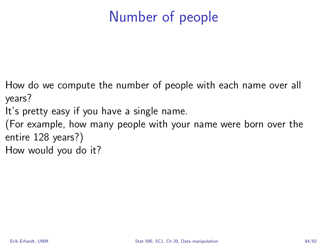## Number of people

- How do we compute the number of people with each name over all years?
- It's pretty easy if you have a single name.
- (For example, how many people with your name were born over the entire 128 years?)
- How would you do it?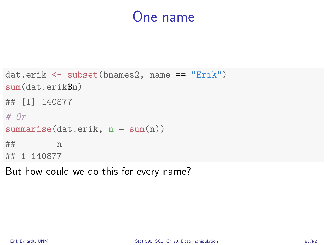#### One name

```
dat.erik <- subset(bnames2, name == "Erik")
sum(dat.erik$n)
## [1] 140877
# \nightharpoonup rsummarise(data.erik, n = sum(n))## n
## 1 140877
```
But how could we do this for every name?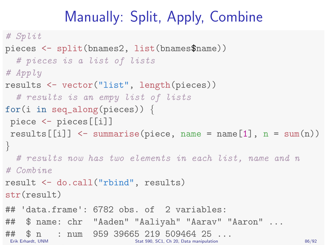# Manually: Split, Apply, Combine

```
# Split
pieces <- split(bnames2, list(bnames$name))
  # pieces is a list of lists
# Apply
results <- vector("list", length(pieces))
  # results is an empy list of lists
for(i in seq_along(pieces)) {
piece <- pieces[[i]]
 results \lceil i \rceil \rceil \leq summarise (piece, name = name \lceil 1 \rceil, n = sum (n))
}
  # results now has two elements in each list, name and n
# Combine
result <- do.call("rbind", results)
str(result)
## 'data.frame': 6782 obs. of 2 variables:
## $ name: chr "Aaden" "Aaliyah" "Aarav" "Aaron" ...
## $ n : num 959 39665 219 509464 25 ...
                            Erik Erhardt, UNM Stat 590, SC1, Ch 20, Data manipulation 86/92
```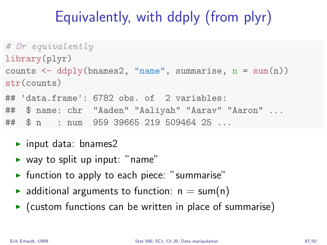# Equivalently, with ddply (from plyr)

```
# Or equivalently
library(plyr)
counts \leq ddply(bnames2, "name", summarise, n = sum(n))
str(counts)
## 'data.frame': 6782 obs. of 2 variables:
## $ name: chr "Aaden" "Aaliyah" "Aarav" "Aaron" ...
## $ n : num 959 39665 219 509464 25 ...
```
- $\blacktriangleright$  input data: bnames2
- $\triangleright$  way to split up input: "name"
- $\blacktriangleright$  function to apply to each piece: "summarise"
- $\triangleright$  additional arguments to function:  $n = sum(n)$
- $\triangleright$  (custom functions can be written in place of summarise)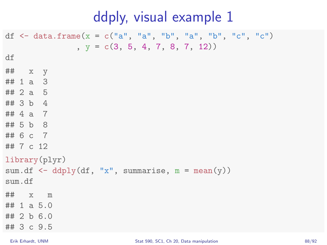#### ddply, visual example 1

```
df \leq data.frame(x = c("a", "a", "b", "a", "b", "c", "c")
               , y = c(3, 5, 4, 7, 8, 7, 12)df
## x y
## 1 a 3## 2 a 5
## 3 b 4
## 4 a 7
## 5 b 8
## 6 c 7
## 7 c 12
library(plyr)
sum.df \leq ddply(df, "x", summarise, m = mean(y))
sum.df
## x m
\# 1 a 5.0
## 2 b 6.0
## 3 c 9.5
```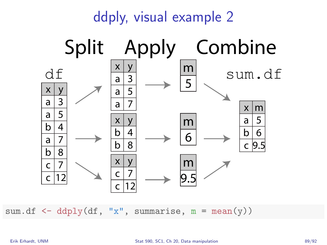

sum.df  $\leq$  ddply(df, "x", summarise, m = mean(y))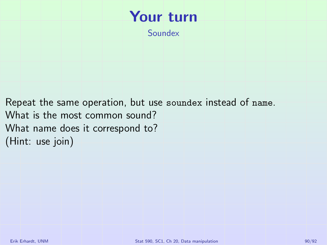#### Your turn

Soundex

Repeat the same operation, but use soundex instead of name. What is the most common sound? What name does it correspond to? (Hint: use join)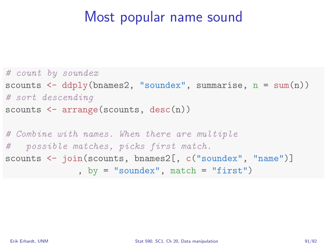#### Most popular name sound

```
# count by soundex
scounts \leftarrow ddply(bnames2, "soundex", summarise, n = sum(n))
# sort descending
scounts \leq arrange(scounts, desc(n))
# Combine with names. When there are multiple
# possible matches, picks first match.
scounts <- join(scounts, bnames2[, c("soundex", "name")]
              , by = "soundex", match = "first")
```